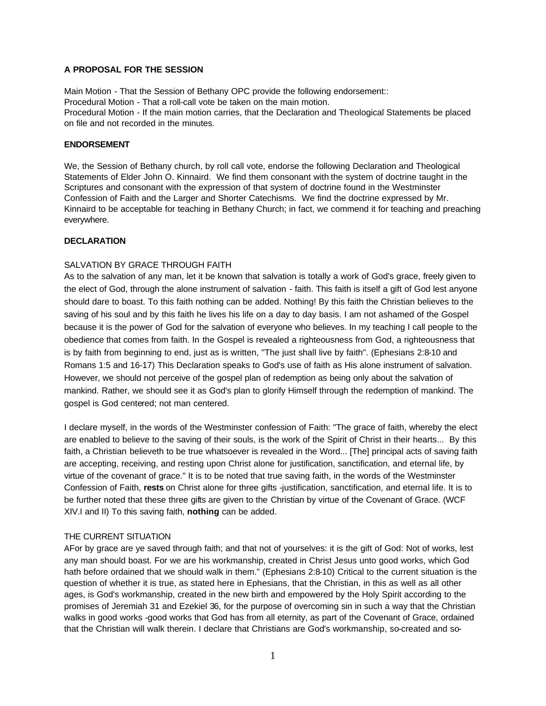# **A PROPOSAL FOR THE SESSION**

Main Motion - That the Session of Bethany OPC provide the following endorsement:: Procedural Motion - That a roll-call vote be taken on the main motion. Procedural Motion - If the main motion carries, that the Declaration and Theological Statements be placed on file and not recorded in the minutes.

#### **ENDORSEMENT**

We, the Session of Bethany church, by roll call vote, endorse the following Declaration and Theological Statements of Elder John O. Kinnaird. We find them consonant with the system of doctrine taught in the Scriptures and consonant with the expression of that system of doctrine found in the Westminster Confession of Faith and the Larger and Shorter Catechisms. We find the doctrine expressed by Mr. Kinnaird to be acceptable for teaching in Bethany Church; in fact, we commend it for teaching and preaching everywhere.

### **DECLARATION**

#### SALVATION BY GRACE THROUGH FAITH

As to the salvation of any man, let it be known that salvation is totally a work of God's grace, freely given to the elect of God, through the alone instrument of salvation - faith. This faith is itself a gift of God lest anyone should dare to boast. To this faith nothing can be added. Nothing! By this faith the Christian believes to the saving of his soul and by this faith he lives his life on a day to day basis. I am not ashamed of the Gospel because it is the power of God for the salvation of everyone who believes. In my teaching I call people to the obedience that comes from faith. In the Gospel is revealed a righteousness from God, a righteousness that is by faith from beginning to end, just as is written, "The just shall live by faith". (Ephesians 2:8-10 and Romans 1:5 and 16-17) This Declaration speaks to God's use of faith as His alone instrument of salvation. However, we should not perceive of the gospel plan of redemption as being only about the salvation of mankind. Rather, we should see it as God's plan to glorify Himself through the redemption of mankind. The gospel is God centered; not man centered.

I declare myself, in the words of the Westminster confession of Faith: "The grace of faith, whereby the elect are enabled to believe to the saving of their souls, is the work of the Spirit of Christ in their hearts... By this faith, a Christian believeth to be true whatsoever is revealed in the Word... [The] principal acts of saving faith are accepting, receiving, and resting upon Christ alone for justification, sanctification, and eternal life, by virtue of the covenant of grace." It is to be noted that true saving faith, in the words of the Westminster Confession of Faith, **rests** on Christ alone for three gifts -justification, sanctification, and eternal life. It is to be further noted that these three gifts are given to the Christian by virtue of the Covenant of Grace. (WCF XIV.I and II) To this saving faith, **nothing** can be added.

### THE CURRENT SITUATION

AFor by grace are ye saved through faith; and that not of yourselves: it is the gift of God: Not of works, lest any man should boast. For we are his workmanship, created in Christ Jesus unto good works, which God hath before ordained that we should walk in them." (Ephesians 2:8-10) Critical to the current situation is the question of whether it is true, as stated here in Ephesians, that the Christian, in this as well as all other ages, is God's workmanship, created in the new birth and empowered by the Holy Spirit according to the promises of Jeremiah 31 and Ezekiel 36, for the purpose of overcoming sin in such a way that the Christian walks in good works -good works that God has from all eternity, as part of the Covenant of Grace, ordained that the Christian will walk therein. I declare that Christians are God's workmanship, so-created and so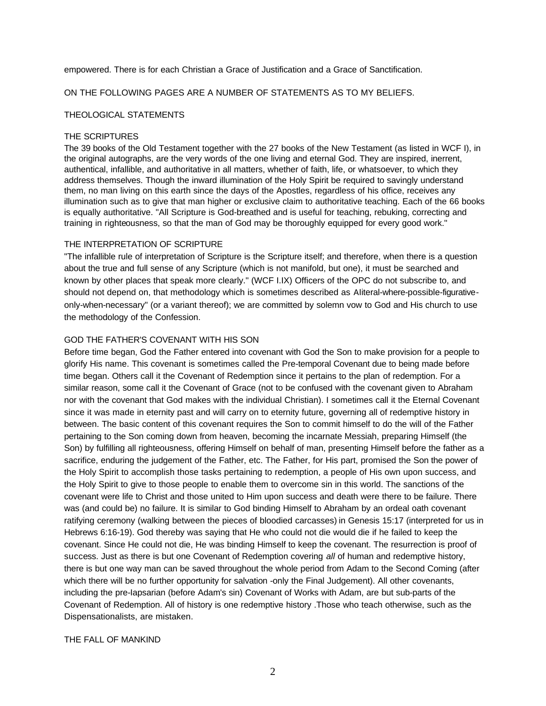empowered. There is for each Christian a Grace of Justification and a Grace of Sanctification.

# ON THE FOLLOWING PAGES ARE A NUMBER OF STATEMENTS AS TO MY BELIEFS.

### THEOLOGICAL STATEMENTS

#### THE SCRIPTURES

The 39 books of the Old Testament together with the 27 books of the New Testament (as listed in WCF I), in the original autographs, are the very words of the one living and eternal God. They are inspired, inerrent, authentical, infallible, and authoritative in all matters, whether of faith, life, or whatsoever, to which they address themselves. Though the inward illumination of the Holy Spirit be required to savingly understand them, no man living on this earth since the days of the Apostles, regardless of his office, receives any illumination such as to give that man higher or exclusive claim to authoritative teaching. Each of the 66 books is equally authoritative. "All Scripture is God-breathed and is useful for teaching, rebuking, correcting and training in righteousness, so that the man of God may be thoroughly equipped for every good work."

#### THE INTERPRETATION OF SCRIPTURE

"The infallible rule of interpretation of Scripture is the Scripture itself; and therefore, when there is a question about the true and full sense of any Scripture (which is not manifold, but one), it must be searched and known by other places that speak more clearly." (WCF I.IX) Officers of the OPC do not subscribe to, and should not depend on, that methodology which is sometimes described as AIiteral-where-possible-figurativeonly-when-necessary" (or a variant thereof); we are committed by solemn vow to God and His church to use the methodology of the Confession.

#### GOD THE FATHER'S COVENANT WITH HIS SON

Before time began, God the Father entered into covenant with God the Son to make provision for a people to glorify His name. This covenant is sometimes called the Pre-temporal Covenant due to being made before time began. Others call it the Covenant of Redemption since it pertains to the plan of redemption. For a similar reason, some call it the Covenant of Grace (not to be confused with the covenant given to Abraham nor with the covenant that God makes with the individual Christian). I sometimes call it the Eternal Covenant since it was made in eternity past and will carry on to eternity future, governing all of redemptive history in between. The basic content of this covenant requires the Son to commit himself to do the will of the Father pertaining to the Son coming down from heaven, becoming the incarnate Messiah, preparing Himself (the Son) by fulfilling all righteousness, offering Himself on behalf of man, presenting Himself before the father as a sacrifice, enduring the judgement of the Father, etc. The Father, for His part, promised the Son the power of the Holy Spirit to accomplish those tasks pertaining to redemption, a people of His own upon success, and the Holy Spirit to give to those people to enable them to overcome sin in this world. The sanctions of the covenant were life to Christ and those united to Him upon success and death were there to be failure. There was (and could be) no failure. It is similar to God binding Himself to Abraham by an ordeal oath covenant ratifying ceremony (walking between the pieces of bloodied carcasses) in Genesis 15:17 (interpreted for us in Hebrews 6:16-19). God thereby was saying that He who could not die would die if he failed to keep the covenant. Since He could not die, He was binding Himself to keep the covenant. The resurrection is proof of success. Just as there is but one Covenant of Redemption covering *all* of human and redemptive history, there is but one way man can be saved throughout the whole period from Adam to the Second Coming (after which there will be no further opportunity for salvation -only the Final Judgement). All other covenants, including the pre-Iapsarian (before Adam's sin) Covenant of Works with Adam, are but sub-parts of the Covenant of Redemption. All of history is one redemptive history .Those who teach otherwise, such as the Dispensationalists, are mistaken.

### THE FALL OF MANKIND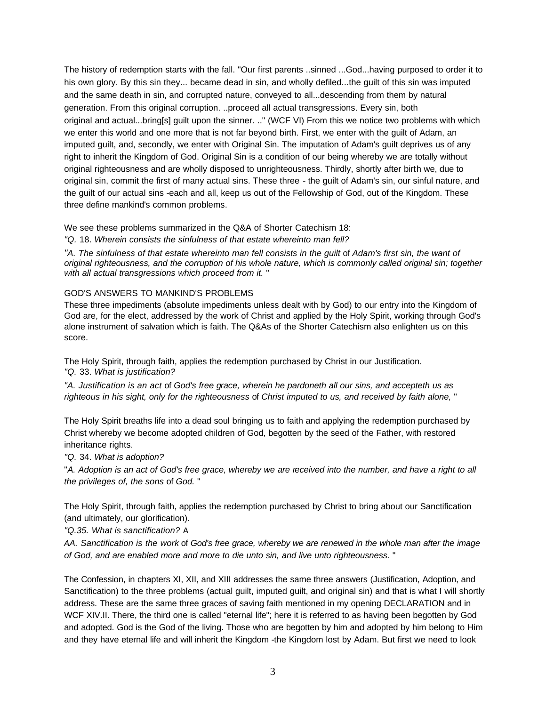The history of redemption starts with the fall. "Our first parents ..sinned ...God...having purposed to order it to his own glory. By this sin they... became dead in sin, and wholly defiled...the guilt of this sin was imputed and the same death in sin, and corrupted nature, conveyed to all...descending from them by natural generation. From this original corruption. ..proceed all actual transgressions. Every sin, both original and actual...bring[s] guilt upon the sinner. .." (WCF VI) From this we notice two problems with which we enter this world and one more that is not far beyond birth. First, we enter with the guilt of Adam, an imputed guilt, and, secondly, we enter with Original Sin. The imputation of Adam's guilt deprives us of any right to inherit the Kingdom of God. Original Sin is a condition of our being whereby we are totally without original righteousness and are wholly disposed to unrighteousness. Thirdly, shortly after birth we, due to original sin, commit the first of many actual sins. These three - the guilt of Adam's sin, our sinful nature, and the guilt of our actual sins -each and all, keep us out of the Fellowship of God, out of the Kingdom. These three define mankind's common problems.

We see these problems summarized in the Q&A of Shorter Catechism 18:

*"Q.* 18. *Wherein consists the sinfulness of that estate whereinto man fell?* 

*"A. The sinfulness of that estate whereinto man fell consists in the guilt* of *Adam's first sin, the want of original righteousness, and the corruption of his whole nature, which is commonly called original sin; together with all actual transgressions which proceed from it.* "

# GOD'S ANSWERS TO MANKIND'S PROBLEMS

These three impediments (absolute impediments unless dealt with by God) to our entry into the Kingdom of God are, for the elect, addressed by the work of Christ and applied by the Holy Spirit, working through God's alone instrument of salvation which is faith. The Q&As of the Shorter Catechism also enlighten us on this score.

The Holy Spirit, through faith, applies the redemption purchased by Christ in our Justification. *"Q.* 33. *What is justification?* 

*"A. Justification is an act* of *God's free grace, wherein he pardoneth all our sins, and accepteth us as righteous in his sight, only for the righteousness* of *Christ imputed to us, and received by faith alone,* "

The Holy Spirit breaths life into a dead soul bringing us to faith and applying the redemption purchased by Christ whereby we become adopted children of God, begotten by the seed of the Father, with restored inheritance rights.

### *"Q.* 34. *What is adoption?*

"A. Adoption is an act of God's free grace, whereby we are received into the number, and have a right to all *the privileges of, the sons* of *God.* "

The Holy Spirit, through faith, applies the redemption purchased by Christ to bring about our Sanctification (and ultimately, our glorification).

*"Q.35. What is sanctification?* A

*AA. Sanctification is the work* of *God's free grace, whereby we are renewed in the whole man after the image of God, and are enabled more and more to die unto sin, and live unto righteousness.* "

The Confession, in chapters XI, XII, and XIII addresses the same three answers (Justification, Adoption, and Sanctification) to the three problems (actual guilt, imputed guilt, and original sin) and that is what I will shortly address. These are the same three graces of saving faith mentioned in my opening DECLARATION and in WCF XIV.II. There, the third one is called "eternal life"; here it is referred to as having been begotten by God and adopted. God is the God of the living. Those who are begotten by him and adopted by him belong to Him and they have eternal life and will inherit the Kingdom -the Kingdom lost by Adam. But first we need to look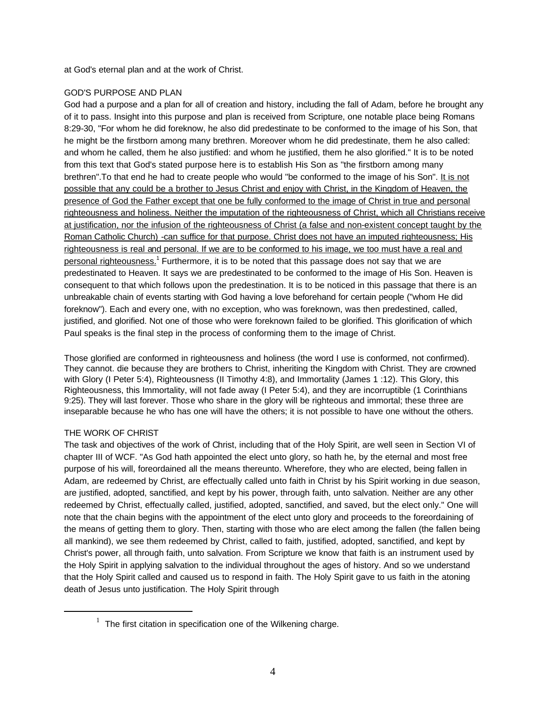at God's eternal plan and at the work of Christ.

# GOD'S PURPOSE AND PLAN

God had a purpose and a plan for all of creation and history, including the fall of Adam, before he brought any of it to pass. Insight into this purpose and plan is received from Scripture, one notable place being Romans 8:29-30, "For whom he did foreknow, he also did predestinate to be conformed to the image of his Son, that he might be the firstborn among many brethren. Moreover whom he did predestinate, them he also called: and whom he called, them he also justified: and whom he justified, them he also glorified." It is to be noted from this text that God's stated purpose here is to establish His Son as "the firstborn among many brethren". To that end he had to create people who would "be conformed to the image of his Son". It is not possible that any could be a brother to Jesus Christ and enjoy with Christ, in the Kingdom of Heaven, the presence of God the Father except that one be fully conformed to the image of Christ in true and personal righteousness and holiness. Neither the imputation of the righteousness of Christ, which all Christians receive at justification, nor the infusion of the righteousness of Christ (a false and non-existent concept taught by the Roman Catholic Church) -can suffice for that purpose. Christ does not have an imputed righteousness; His righteousness is real and personal. If we are to be conformed to his image, we too must have a real and personal righteousness.<sup>1</sup> Furthermore, it is to be noted that this passage does not say that we are predestinated to Heaven. It says we are predestinated to be conformed to the image of His Son. Heaven is consequent to that which follows upon the predestination. It is to be noticed in this passage that there is an unbreakable chain of events starting with God having a love beforehand for certain people ("whom He did foreknow"). Each and every one, with no exception, who was foreknown, was then predestined, called, justified, and glorified. Not one of those who were foreknown failed to be glorified. This glorification of which Paul speaks is the final step in the process of conforming them to the image of Christ.

Those glorified are conformed in righteousness and holiness (the word I use is conformed, not confirmed). They cannot. die because they are brothers to Christ, inheriting the Kingdom with Christ. They are crowned with Glory (I Peter 5:4), Righteousness (II Timothy 4:8), and Immortality (James 1:12). This Glory, this Righteousness, this Immortality, will not fade away (I Peter 5:4), and they are incorruptible (1 Corinthians 9:25). They will last forever. Those who share in the glory will be righteous and immortal; these three are inseparable because he who has one will have the others; it is not possible to have one without the others.

# THE WORK OF CHRIST

 $\overline{a}$ 

The task and objectives of the work of Christ, including that of the Holy Spirit, are well seen in Section VI of chapter III of WCF. "As God hath appointed the elect unto glory, so hath he, by the eternal and most free purpose of his will, foreordained all the means thereunto. Wherefore, they who are elected, being fallen in Adam, are redeemed by Christ, are effectually called unto faith in Christ by his Spirit working in due season, are justified, adopted, sanctified, and kept by his power, through faith, unto salvation. Neither are any other redeemed by Christ, effectually called, justified, adopted, sanctified, and saved, but the elect only." One will note that the chain begins with the appointment of the elect unto glory and proceeds to the foreordaining of the means of getting them to glory. Then, starting with those who are elect among the fallen (the fallen being all mankind), we see them redeemed by Christ, called to faith, justified, adopted, sanctified, and kept by Christ's power, all through faith, unto salvation. From Scripture we know that faith is an instrument used by the Holy Spirit in applying salvation to the individual throughout the ages of history. And so we understand that the Holy Spirit called and caused us to respond in faith. The Holy Spirit gave to us faith in the atoning death of Jesus unto justification. The Holy Spirit through

 $1$  The first citation in specification one of the Wilkening charge.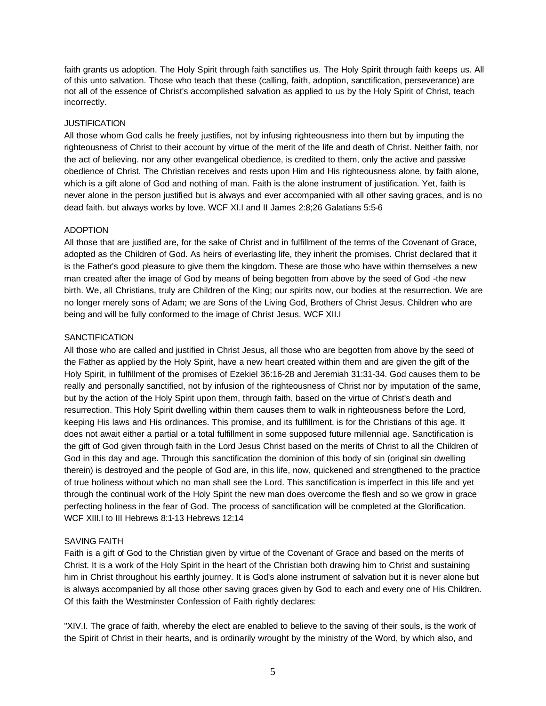faith grants us adoption. The Holy Spirit through faith sanctifies us. The Holy Spirit through faith keeps us. All of this unto salvation. Those who teach that these (calling, faith, adoption, sanctification, perseverance) are not all of the essence of Christ's accomplished salvation as applied to us by the Holy Spirit of Christ, teach incorrectly.

# **JUSTIFICATION**

All those whom God calls he freely justifies, not by infusing righteousness into them but by imputing the righteousness of Christ to their account by virtue of the merit of the life and death of Christ. Neither faith, nor the act of believing. nor any other evangelical obedience, is credited to them, only the active and passive obedience of Christ. The Christian receives and rests upon Him and His righteousness alone, by faith alone, which is a gift alone of God and nothing of man. Faith is the alone instrument of justification. Yet, faith is never alone in the person justified but is always and ever accompanied with all other saving graces, and is no dead faith. but always works by love. WCF XI.I and II James 2:8;26 Galatians 5:5-6

# ADOPTION

All those that are justified are, for the sake of Christ and in fulfillment of the terms of the Covenant of Grace, adopted as the Children of God. As heirs of everlasting life, they inherit the promises. Christ declared that it is the Father's good pleasure to give them the kingdom. These are those who have within themselves a new man created after the image of God by means of being begotten from above by the seed of God -the new birth. We, all Christians, truly are Children of the King; our spirits now, our bodies at the resurrection. We are no longer merely sons of Adam; we are Sons of the Living God, Brothers of Christ Jesus. Children who are being and will be fully conformed to the image of Christ Jesus. WCF XII.I

# **SANCTIFICATION**

All those who are called and justified in Christ Jesus, all those who are begotten from above by the seed of the Father as applied by the Holy Spirit, have a new heart created within them and are given the gift of the Holy Spirit, in fulfillment of the promises of Ezekiel 36:16-28 and Jeremiah 31:31-34. God causes them to be really and personally sanctified, not by infusion of the righteousness of Christ nor by imputation of the same, but by the action of the Holy Spirit upon them, through faith, based on the virtue of Christ's death and resurrection. This Holy Spirit dwelling within them causes them to walk in righteousness before the Lord, keeping His laws and His ordinances. This promise, and its fulfillment, is for the Christians of this age. It does not await either a partial or a total fulfillment in some supposed future millennial age. Sanctification is the gift of God given through faith in the Lord Jesus Christ based on the merits of Christ to all the Children of God in this day and age. Through this sanctification the dominion of this body of sin (original sin dwelling therein) is destroyed and the people of God are, in this life, now, quickened and strengthened to the practice of true holiness without which no man shall see the Lord. This sanctification is imperfect in this life and yet through the continual work of the Holy Spirit the new man does overcome the flesh and so we grow in grace perfecting holiness in the fear of God. The process of sanctification will be completed at the Glorification. WCF XIII.I to III Hebrews 8:1-13 Hebrews 12:14

# SAVING FAITH

Faith is a gift of God to the Christian given by virtue of the Covenant of Grace and based on the merits of Christ. It is a work of the Holy Spirit in the heart of the Christian both drawing him to Christ and sustaining him in Christ throughout his earthly journey. It is God's alone instrument of salvation but it is never alone but is always accompanied by all those other saving graces given by God to each and every one of His Children. Of this faith the Westminster Confession of Faith rightly declares:

"XIV.I. The grace of faith, whereby the elect are enabled to believe to the saving of their souls, is the work of the Spirit of Christ in their hearts, and is ordinarily wrought by the ministry of the Word, by which also, and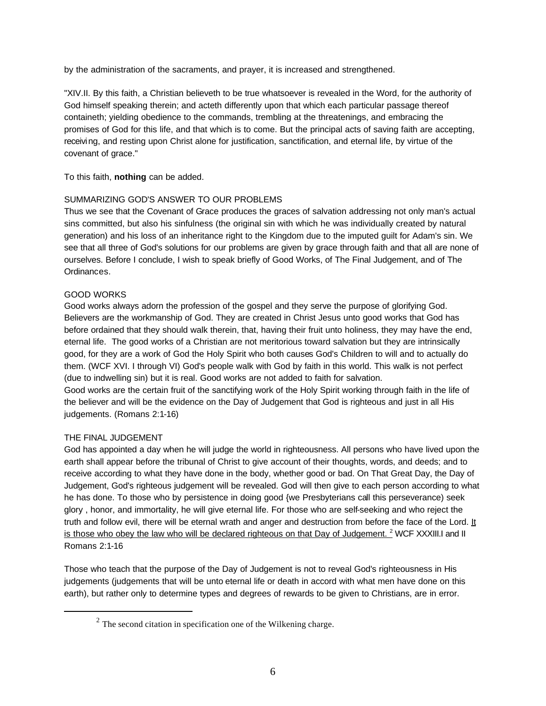by the administration of the sacraments, and prayer, it is increased and strengthened.

"XIV.II. By this faith, a Christian believeth to be true whatsoever is revealed in the Word, for the authority of God himself speaking therein; and acteth differently upon that which each particular passage thereof containeth; yielding obedience to the commands, trembling at the threatenings, and embracing the promises of God for this life, and that which is to come. But the principal acts of saving faith are accepting, receiving, and resting upon Christ alone for justification, sanctification, and eternal life, by virtue of the covenant of grace."

To this faith, **nothing** can be added.

# SUMMARIZING GOD'S ANSWER TO OUR PROBLEMS

Thus we see that the Covenant of Grace produces the graces of salvation addressing not only man's actual sins committed, but also his sinfulness (the original sin with which he was individually created by natural generation) and his loss of an inheritance right to the Kingdom due to the imputed guilt for Adam's sin. We see that all three of God's solutions for our problems are given by grace through faith and that all are none of ourselves. Before I conclude, I wish to speak briefly of Good Works, of The Final Judgement, and of The Ordinances.

# GOOD WORKS

Good works always adorn the profession of the gospel and they serve the purpose of glorifying God. Believers are the workmanship of God. They are created in Christ Jesus unto good works that God has before ordained that they should walk therein, that, having their fruit unto holiness, they may have the end, eternal life. The good works of a Christian are not meritorious toward salvation but they are intrinsically good, for they are a work of God the Holy Spirit who both causes God's Children to will and to actually do them. (WCF XVI. I through VI) God's people walk with God by faith in this world. This walk is not perfect (due to indwelling sin) but it is real. Good works are not added to faith for salvation.

Good works are the certain fruit of the sanctifying work of the Holy Spirit working through faith in the life of the believer and will be the evidence on the Day of Judgement that God is righteous and just in all His judgements. (Romans 2:1-16)

### THE FINAL JUDGEMENT

 $\overline{a}$ 

God has appointed a day when he will judge the world in righteousness. All persons who have lived upon the earth shall appear before the tribunal of Christ to give account of their thoughts, words, and deeds; and to receive according to what they have done in the body, whether good or bad. On That Great Day, the Day of Judgement, God's righteous judgement will be revealed. God will then give to each person according to what he has done. To those who by persistence in doing good {we Presbyterians call this perseverance) seek glory , honor, and immortality, he will give eternal life. For those who are self-seeking and who reject the truth and follow evil, there will be eternal wrath and anger and destruction from before the face of the Lord. It is those who obey the law who will be declared righteous on that Day of Judgement. <sup>2</sup> WCF XXXIII.I and II Romans 2:1-16

Those who teach that the purpose of the Day of Judgement is not to reveal God's righteousness in His judgements (judgements that will be unto eternal life or death in accord with what men have done on this earth), but rather only to determine types and degrees of rewards to be given to Christians, are in error.

 $2<sup>2</sup>$  The second citation in specification one of the Wilkening charge.